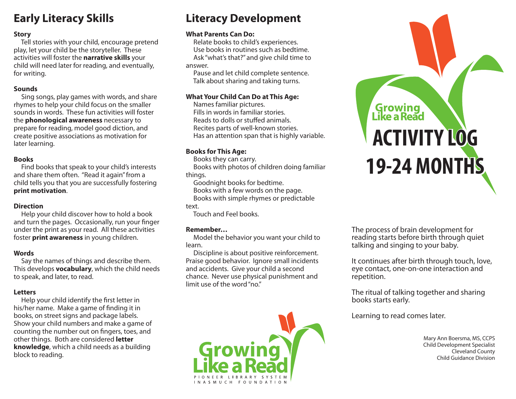## **Early Literacy Skills**

## **Story**

 Tell stories with your child, encourage pretend play, let your child be the storyteller. These activities will foster the **narrative skills** your child will need later for reading, and eventually, for writing.

## **Sounds**

 Sing songs, play games with words, and share rhymes to help your child focus on the smaller sounds in words. These fun activities will foster the **phonological awareness** necessary to prepare for reading, model good diction, and create positive associations as motivation for later learning.

## **Books**

 Find books that speak to your child's interests and share them often. "Read it again" from a child tells you that you are successfully fostering **print motivation**.

## **Direction**

 Help your child discover how to hold a book and turn the pages. Occasionally, run your finger under the print as your read. All these activities foster **print awareness** in young children.

## **Words**

 Say the names of things and describe them. This develops **vocabulary**, which the child needs to speak, and later, to read.

## **Letters**

Help your child identify the first letter in his/her name. Make a game of finding it in books, on street signs and package labels. Show your child numbers and make a game of counting the number out on fingers, toes, and other things. Both are considered **letter knowledge**, which a child needs as a building block to reading.

## **Literacy Development**

## **What Parents Can Do:**

 Relate books to child's experiences. Use books in routines such as bedtime. Ask "what's that?" and give child time to answer.

 Pause and let child complete sentence. Talk about sharing and taking turns.

## **What Your Child Can Do at This Age:**

 Names familiar pictures. Fills in words in familiar stories. Reads to dolls or stuffed animals. Recites parts of well-known stories. Has an attention span that is highly variable.

## **Books for This Age:**

Books they can carry.

 Books with photos of children doing familiar things.

Goodnight books for bedtime.

Books with a few words on the page.

Books with simple rhymes or predictable

text.

Touch and Feel books.

## **Remember…**

 Model the behavior you want your child to learn.

 Discipline is about positive reinforcement. Praise good behavior. Ignore small incidents and accidents. Give your child a second chance. Never use physical punishment and limit use of the word "no."



# **Growing<br>Like a Read ACTIVITY LOG 19-24 MONTHS 19-24 MONTHS**

The process of brain development for reading starts before birth through quiet talking and singing to your baby.

It continues after birth through touch, love, eye contact, one-on-one interaction and repetition.

The ritual of talking together and sharing books starts early.

Learning to read comes later.

 Mary Ann Boersma, MS, CCPS Child Development Specialist Cleveland County Child Guidance Division